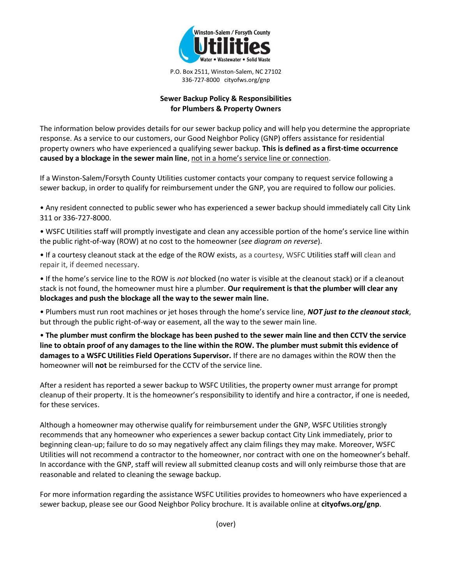

P.O. Box 2511, Winston-Salem, NC 27102 336-727-8000 cityofws.org/gnp

## **Sewer Backup Policy & Responsibilities for Plumbers & Property Owners**

The information below provides details for our sewer backup policy and will help you determine the appropriate response. As a service to our customers, our Good Neighbor Policy (GNP) offers assistance for residential property owners who have experienced a qualifying sewer backup. **This is defined as a first-time occurrence caused by a blockage in the sewer main line**, not in a home's service line or connection.

If a Winston-Salem/Forsyth County Utilities customer contacts your company to request service following a sewer backup, in order to qualify for reimbursement under the GNP, you are required to follow our policies.

• Any resident connected to public sewer who has experienced a sewer backup should immediately call City Link 311 or 336-727-8000.

• WSFC Utilities staff will promptly investigate and clean any accessible portion of the home's service line within the public right-of-way (ROW) at no cost to the homeowner (*see diagram on reverse*).

• If a courtesy cleanout stack at the edge of the ROW exists, as a courtesy, WSFC Utilities staff will clean and repair it, if deemed necessary.

• If the home's service line to the ROW is *not* blocked (no water is visible at the cleanout stack) or if a cleanout stack is not found, the homeowner must hire a plumber. **Our requirement is that the plumber will clear any blockages and push the blockage all the way to the sewer main line.**

• Plumbers must run root machines or jet hoses through the home's service line, *NOT just to the cleanout stack*, but through the public right-of-way or easement, all the way to the sewer main line.

• **The plumber must confirm the blockage has been pushed to the sewer main line and then CCTV the service line to obtain proof of any damages to the line within the ROW. The plumber must submit this evidence of damages to a WSFC Utilities Field Operations Supervisor.** If there are no damages within the ROW then the homeowner will **not** be reimbursed for the CCTV of the service line.

After a resident has reported a sewer backup to WSFC Utilities, the property owner must arrange for prompt cleanup of their property. It is the homeowner's responsibility to identify and hire a contractor, if one is needed, for these services.

Although a homeowner may otherwise qualify for reimbursement under the GNP, WSFC Utilities strongly recommends that any homeowner who experiences a sewer backup contact City Link immediately, prior to beginning clean-up; failure to do so may negatively affect any claim filings they may make. Moreover, WSFC Utilities will not recommend a contractor to the homeowner, nor contract with one on the homeowner's behalf. In accordance with the GNP, staff will review all submitted cleanup costs and will only reimburse those that are reasonable and related to cleaning the sewage backup.

For more information regarding the assistance WSFC Utilities provides to homeowners who have experienced a sewer backup, please see our Good Neighbor Policy brochure. It is available online at **cityofws.org/gnp**.